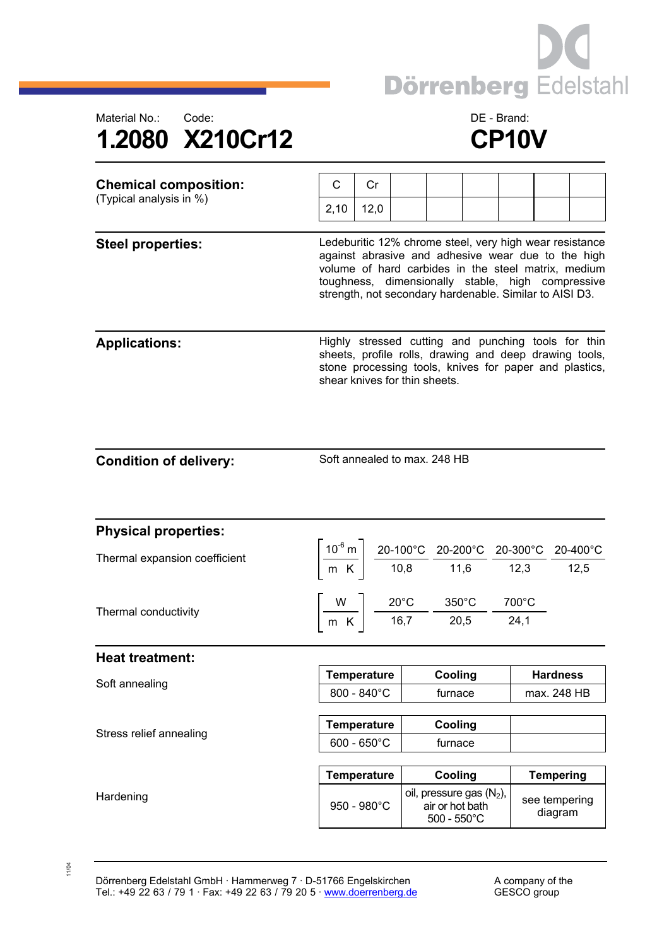



| <b>Chemical composition:</b><br>(Typical analysis in %) | C                                                                                                                                                                                                                                                                                    | Cr                                          |  |                                                                         |  |  |                                |  |
|---------------------------------------------------------|--------------------------------------------------------------------------------------------------------------------------------------------------------------------------------------------------------------------------------------------------------------------------------------|---------------------------------------------|--|-------------------------------------------------------------------------|--|--|--------------------------------|--|
|                                                         | 2,10                                                                                                                                                                                                                                                                                 | 12,0                                        |  |                                                                         |  |  |                                |  |
| <b>Steel properties:</b>                                | Ledeburitic 12% chrome steel, very high wear resistance<br>against abrasive and adhesive wear due to the high<br>volume of hard carbides in the steel matrix, medium<br>toughness, dimensionally stable, high compressive<br>strength, not secondary hardenable. Similar to AISI D3. |                                             |  |                                                                         |  |  |                                |  |
| <b>Applications:</b>                                    | Highly stressed cutting and punching tools for thin<br>sheets, profile rolls, drawing and deep drawing tools,<br>stone processing tools, knives for paper and plastics,<br>shear knives for thin sheets.                                                                             |                                             |  |                                                                         |  |  |                                |  |
| <b>Condition of delivery:</b>                           | Soft annealed to max. 248 HB                                                                                                                                                                                                                                                         |                                             |  |                                                                         |  |  |                                |  |
| <b>Physical properties:</b>                             |                                                                                                                                                                                                                                                                                      |                                             |  |                                                                         |  |  |                                |  |
| Thermal expansion coefficient                           | $\left[\frac{10^{6} \text{ m}}{\text{m K}}\right] \frac{20-100^{\circ} \text{C}}{10,8} \frac{20-200^{\circ} \text{C}}{11,6} \frac{20-300^{\circ} \text{C}}{12,3} \frac{20-400^{\circ} \text{C}}{12,5}$                                                                               |                                             |  |                                                                         |  |  |                                |  |
| Thermal conductivity                                    | $\left[\frac{W}{m_K}\right]$ $\frac{20^{\circ}\text{C}}{16,7}$ $\frac{350^{\circ}\text{C}}{20,5}$ $\frac{700^{\circ}\text{C}}{24,1}$                                                                                                                                                 |                                             |  |                                                                         |  |  |                                |  |
| <b>Heat treatment:</b>                                  |                                                                                                                                                                                                                                                                                      |                                             |  |                                                                         |  |  |                                |  |
| Soft annealing                                          |                                                                                                                                                                                                                                                                                      | Temperature                                 |  | Cooling                                                                 |  |  | <b>Hardness</b><br>max. 248 HB |  |
|                                                         |                                                                                                                                                                                                                                                                                      | 800 - 840°C                                 |  | furnace                                                                 |  |  |                                |  |
| Stress relief annealing                                 |                                                                                                                                                                                                                                                                                      | <b>Temperature</b><br>$600 - 650^{\circ}$ C |  | Cooling<br>furnace                                                      |  |  |                                |  |
|                                                         |                                                                                                                                                                                                                                                                                      |                                             |  |                                                                         |  |  |                                |  |
|                                                         |                                                                                                                                                                                                                                                                                      | <b>Temperature</b>                          |  | Cooling                                                                 |  |  | <b>Tempering</b>               |  |
| Hardening                                               |                                                                                                                                                                                                                                                                                      | 950 - 980°C                                 |  | oil, pressure gas $(N_2)$ ,<br>air or hot bath<br>$500 - 550^{\circ}$ C |  |  | see tempering<br>diagram       |  |